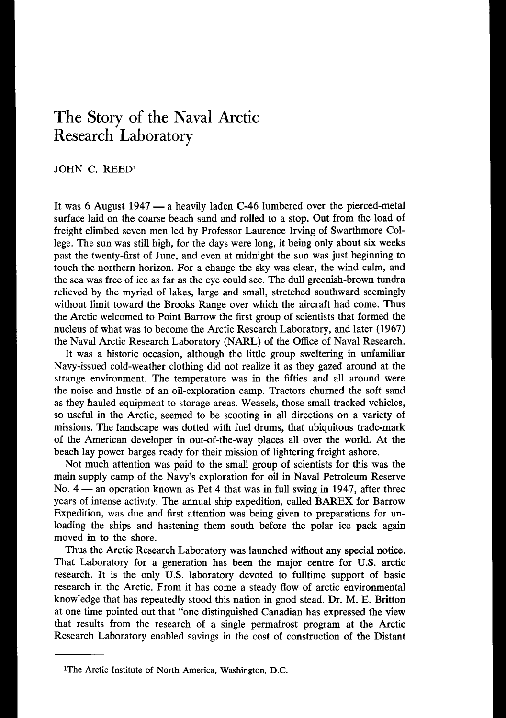## **The** Story of **the Naval Arctic Research Laboratory**

JOHN C. REED1

It was 6 August 1947 — a heavily laden C-46 lumbered over the pierced-metal surface laid on the coarse beach sand and rolled to a stop. Out from the load of freight climbed seven men led by Professor Laurence Irving of Swarthmore College. The sun was still high, for the days were long, it being only about six weeks past the twenty-first of June, and even at midnight the sun was just beginning to touch the northern horizon. For a change the sky was clear, the wind calm, and the sea was free of ice as far as the eye could see. The dull greenish-brown tundra relieved by the myriad of lakes, large and small, stretched southward seemingly without limit toward the Brooks Range over which the aircraft had come. Thus the Arctic welcomed to Point Barrow the first group of scientists that formed the nucleus of what was to become the Arctic Research Laboratory, and later **(1967)**  the Naval Arctic Research Laboratory (NARL) of the Office of Naval Research.

It was a historic occasion, although the little group sweltering in unfamiliar Navy-issued cold-weather clothing did not realize it as they gazed around at the strange environment. The temperature was in the fifties and all around were the noise and hustle of an oil-exploration camp. Tractors churned the soft sand as they hauled equipment to storage areas. Weasels, those small tracked vehicles, so useful in the Arctic, seemed to be scooting in all directions on a variety of missions. The landscape was dotted with fuel drums, that ubiquitous trade-mark of the American developer in out-of-the-way places all over the world. At the beach lay power barges ready for their mission of lightering freight ashore.

Not much attention was paid to the small group of scientists for this was the main supply camp of the Navy's exploration for oil in Naval Petroleum Reserve Not much attention was paid to the small group of scientists for this was the<br>main supply camp of the Navy's exploration for oil in Naval Petroleum Reserve<br>No. 4 — an operation known as Pet 4 that was in full swing in 1947 years of intense activity. The annual ship expedition, called BAREX for Barrow Expedition, was due and first attention was being given to preparations for unloading the ships and hastening them south before the polar ice pack again moved in to the shore.

Thus the Arctic Research Laboratory was launched without any special notice. That Laboratory for a generation has been the major centre for **U.S.** arctic research. It is the only **U.S.** laboratory devoted to fulltime support of basic research in the Arctic. From it has come a steady flow of arctic environmental knowledge that has repeatedly stood this nation in good stead. Dr. M. E. Britton at one time pointed out that "one distinguished Canadian has expressed the view that results from the research of a single permafrost program at the Arctic Research Laboratory enabled savings in the cost of construction of the Distant

**<sup>1</sup>The Arctic Institute of North America, Washington, D.C.**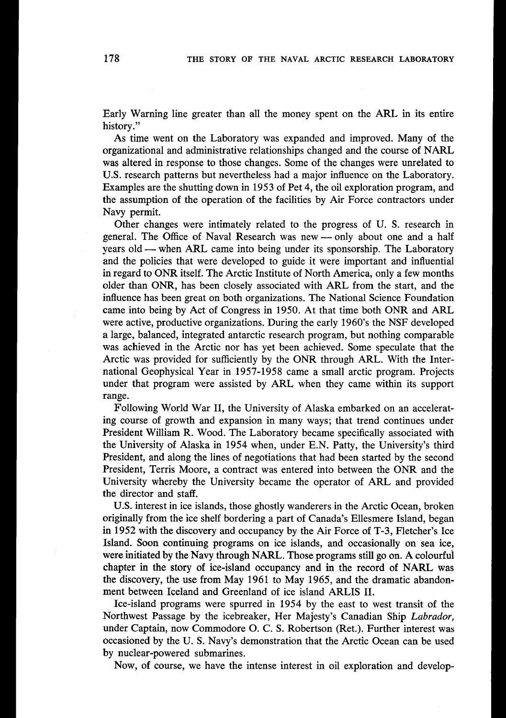Early Warning line greater than all the money spent on the ARL in its entire history."

As time went on the Laboratory was expanded and improved. Many of the organizational and administrative relationships changed and the course of NARL was altered in response to those changes. Some of the changes were unrelated to **U.S.** research patterns but nevertheless had a major influence on the Laboratory. Examples are the shutting down in **1953** of Pet **4,** the oil exploration program, and the assumption of the operation of the facilities by Air Force contractors under Navy permit.

Other chages were intimately related to the progress of U. **S.** research in Navy permit.<br>Other changes were intimately related to the progress of U. S. research in<br>general. The Office of Naval Research was new — only about one and a half<br>was ald unker ABL came into heine under its approaching. The general. The Office of Naval Research was new — only about one and a half years old — when ARL came into being under its sponsorship. The Laboratory and the policies that were developed to guide it were important and influential in regard to ONR itself. The Arctic Institute of North America, only a few months older than ONR, has been closely associated with ARL from the start, and the influence has been great on both organizations. The National Science Foundation came into being by Act of Congress in **1950.** At that time both ONR and ARL were active, productive organizations. During the early **1960's** the NSF developed a large, balanced, integrated antarctic research program, but nothing comparable was achieved in the Arctic nor has yet been achieved. Some speculate that the Arctic was provided for sufficiently by the ONR through ARL. With the International Geophysical Year in **1957-1958** came a small arctic program. Projects under that program were assisted by ARL when they came within its support range.

Following World War 11, the University of Alaska embarked on an accelerating course of growth and expansion in many ways; that trend continues under President William R. Wood. The Laboratory became specifically associated with the University of Alaska in **1954** when, under E.N. Patty, the University's third President, and along the lines of negotiations that had been started by the second President, Terris Moore, a contract was entered into between the ONR and the University whereby the University became the operator of ARL and provided the director and staff.

**U.S.** interest in ice islands, those ghostly wanderers in the Arctic Ocean, broken originally from the ice shelf bordering a part of Canada's Ellesmere Island, began in **1952** with the discovery and occupancy by the Air Force of T-3, Fletcher's Ice Island. Soon continuing programs on ice islands, and occasionally on sea ice, were initiated by the Navy through NARL. Those programs still go on. A colourful chapter in the story **of** ice-island occupancy and in the record of NARL was the discovery, the use from May **1961** to May **1965,** and the dramatic abandonment between Iceland and Greenland of ice island ARLIS 11.

Ice-island programs were spurred in **1954** by the east to west transit of the Northwest Passage by the icebreaker, Her Majesty's Canadian Ship *Labrador,*  under Captain, now Commodore 0. C. **S.** Robertson (Ret.). Further interest was occasioned by the **U. S.** Navy's demonstration that the Arctic Ocean can be used by nuclear-powered submarines.

Now, of course, we have the intense interest in oil exploration and develop-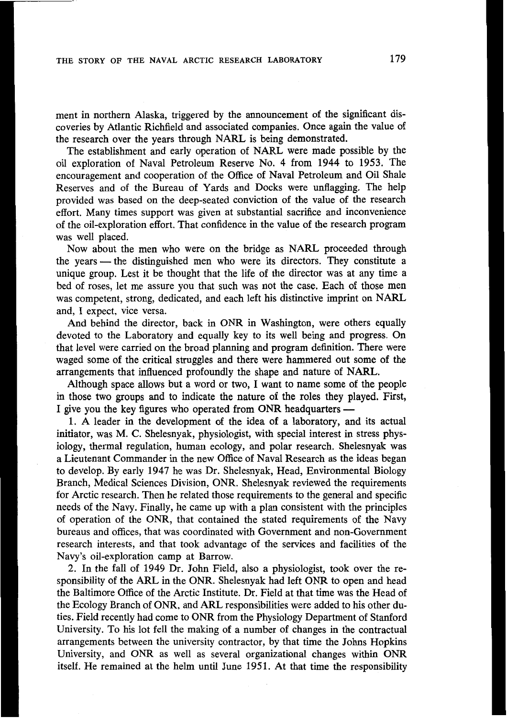ment in northern Alaska, triggered by the announcement of the significant discoveries by Atlantic Richfield and associated companies. Once again the value of the research over the years through NARL is being demonstrated.

The establishment and early operation of NARL were made possible by the oil exploration of Naval Petroleum Reserve No. **4** from **1944** to **1953.** The encouragement and cooperation of the Office of Naval Petroleum and Oil Shale Reserves and of the Bureau of Yards and Docks were unflagging. The help provided was based on the deep-seated conviction of the value of the research effort. Many times support was given at substantial sacrifice and inconvenience of the oil-exploration effort. That confidence in the value of the research program was well placed.

Now about the men who were on the bridge as NARL proceeded through the years — the distinguished men who were its directors. They constitute a unique group. Lest it be thought that the life of the director was at any time a bed of roses, let me assure you that such was not the case. Each of those men was competent, strong, dedicated, and each left his distinctive imprint on NARL and, I expect, vice versa.

And behind the director, back in ONR in Washington, were others equally devoted to the Laboratory and equally key to its well being and progress. On that level were carried on the broad planning and program definition. There were waged some of the critical struggles and there were hammered out some of the arrangements that influenced profoundly the shape and nature of NARL.

Although space allows but a word or two, **I** want to name some of the people in those two groups and to indicate the nature of the roles they played. First, I give you the key figures who operated from ONR headquarters -

**1. A** leader in the development of the idea of a laboratory, and its actual initiator, was M. C. Shelesnyak, physiologist, with special interest in stress physiology, thermal regulation, human ecology, and polar research. Shelesnyak was a Lieutenant Commander in the new Office of Naval Research as the ideas began to develop. By early **1947** he was Dr. Shelesnyak, Head, Environmental Biology Branch, Medical Sciences Division, ONR. Shelesnyak reviewed the requirements for Arctic research. Then he related those requirements to the general and specific needs of the Navy. Finally, he came up with a plan consistent with the principles of operation of the ONR, that contained the stated requirements of the Navy bureaus and offices, that was coordinated with Government and non-Government research interests, and that took advantage of the services and facilities of the Navy's oil-exploration camp at Barrow.

2. In the fall of **1949** Dr. John Field, also a physiologist, took over the responsibility of the ARL in the ONR. Shelesnyak had left ONR to open and head the Baltimore Office of the Arctic Institute. Dr. Field at that time was the Head of the Ecology Branch of ONR, and ARL responsibilities were added to his other duties. Field recently had come to ONR from the Physiology Department of Stanford University. To his lot fell the making of a number of changes in the contractual arrangements between the university contractor, by that time the Johns Hopkins University, and ONR as well as several organizational changes within ONR itself. He remained at the helm until June **1951.** At that time the responsibility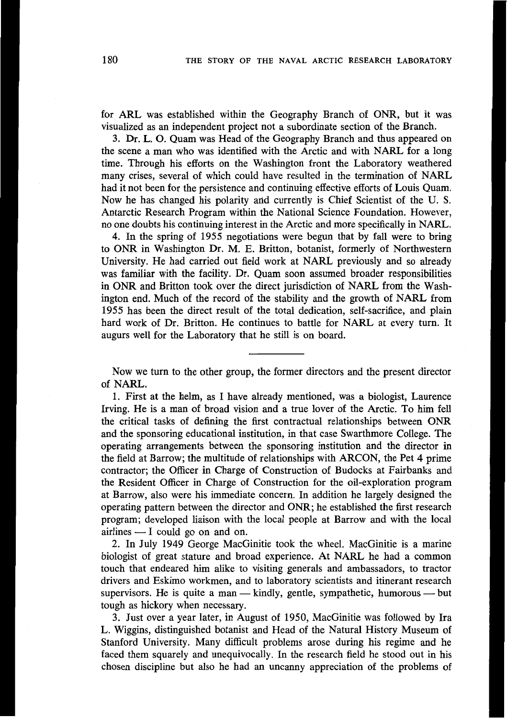for ARL was established within the Geography Branch of ONR, but it was visualized as an independent project not a subordinate section of the Branch.

**3.** Dr. L. 0. Quam was Head of the Geography Branch and thus appeared on the scene a man who was identified with the Arctic and with NARL for a long time. Through his efforts on the Washington front the Laboratory weathered many crises, several of which could have resulted in the termination of NARL had it not been for the persistence and continuing effective efforts of Louis Quam. Now he has changed his polarity and currently is Chief Scientist of the U. **S.**  Antarctic Research Program within the National Science Foundation. However, no one doubts his continuing interest in the Arctic and more specifically in NARL.

**4.** In the spring of **1955** negotiations were begun that by fall were to bring to ONR in Washington Dr. M. E. Britton, botanist, formerly of Northwestern University. He had carried out field work at NARL previously and so already was familiar with the facility. Dr. Quam soon assumed broader responsibilities in ONR and Britton took over the direct jurisdiction of NARL from the Washington end. Much of the record of the stability and the growth of NARL from **1955** has been the direct result of the total dedication, self-sacrifice, and plain hard work of Dr. Britton. He continues to battle for NARL at every turn. It augurs well for the Laboratory that he still is on board.

Now we turn to the other group, the former directors and the present director of NARL.

**1.** First at the helm, as I have already mentioned, was a biologist, Laurence Irving. He is a man of broad vision and a true lover of the Arctic. To him fell the critical tasks of defining the first contractual relationships between ONR and the sponsoring educational institution, in that case Swarthmore College. The operating arrangements between the sponsoring institution and the director in the field at Barrow; the multitude of relationships with ARCON, the Pet **4** prime contractor; the Officer in Charge of Construction of Budocks at Fairbanks and the Resident Officer in Charge of Construction for the oil-exploration program at Barrow, also were his immediate concern. In addition he largely designed the operating pattern between the director and ONR; he established the first research program; developed liaison with the local people at Barrow and with the local perating pattern between the director<br>program; developed liaison with the<br>initimes - I could go on and on.<br>2. In July 1949 George MacGi

2. In July **1949** George MacGinitie took the wheel. MacGinitie is a marine biologist of great stature and broad experience. At NARL he had a common touch that endeared him alike to visiting generals and ambassadors, to tractor drivers and Eskimo workmen, and to laboratory scientists and itinerant research touch that endeared him alike to visiting generals and ambassadors, to tracted trivers and Eskimo workmen, and to laboratory scientists and itinerant researc supervisors. He is quite a man — kindly, gentle, sympathetic, hu tough as hickory when necessary.

**3.** Just over a year later, in August of **1950,** MacGinitie was followed by Ira L. Wiggins, distinguished botanist and Head of the Natural History Museum of Stanford University. Many difficult problems arose during his regime and he faced them squarely and unequivocally. In the research field he stood out in his chosen discipline but also he had an uncanny appreciation of the problems of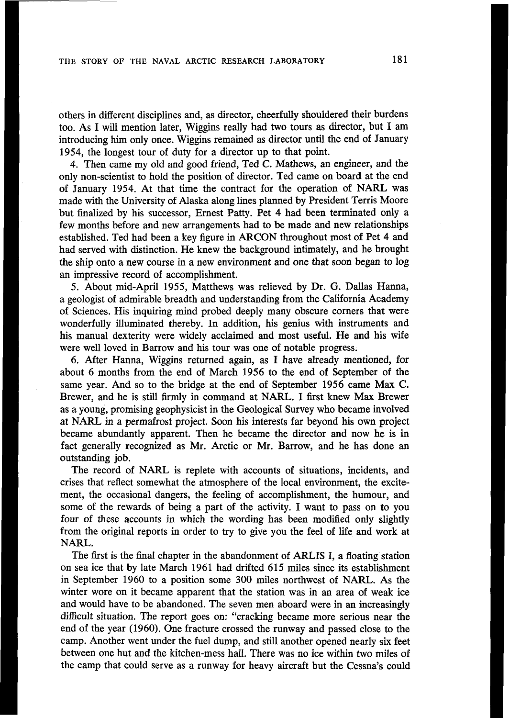others in different disciplines and, as director, cheerfully shouldered their burdens too. As I will mention later, Wiggins really had two tours as director, but **I** am introducing him only once. Wiggins remained as director until the end of January **1954,** the longest tour of duty for a director up to that point.

**4.** Then came my old and good friend, Ted C. Mathews, an engineer, and the only non-scientist to hold the position of director. Ted came on board at the end of January **1954.** At that time the contract for the operation of NARL was made with the University of Alaska along lines planned by President Terris Moore but finalized by his successor, Ernest Patty. Pet **4** had been terminated only a few months before and new arrangements had to be made and new relationships established. Ted had been a key figure in ARCON throughout most of Pet **4** and had served with distinction. He knew the background intimately, and he brought the ship onto a new course in a new environment and one that soon began to log an impressive record of accomplishment.

*5.* About mid-April **1955,** Matthews was relieved by Dr. *G.* Dallas Hanna, a geologist of admirable breadth and understanding from the California Academy of Sciences. His inquiring mind probed deeply many obscure corners that were wonderfully illuminated thereby. In addition, his genius with instruments and his manual dexterity were widely acclaimed and most useful. He and his wife were well loved in Barrow and his tour was one of notable progress.

**6.** After Hanna, Wiggins returned again, as I have already mentioned, for about **6** months from the end of March **1956** to the end of September of the same year. And so to the bridge at the end of September **1956** came Max **C.**  Brewer, and he is still firmly in command at NARL. I first knew Max Brewer as a young, promising geophysicist in the Geological Survey who became involved at NARL in a permafrost project. Soon his interests far beyond his own project became abundantly apparent. Then he became the director and now he is in fact generally recognized as Mr. Arctic or Mr. Barrow, and he has done an outstanding job.

The record of NARL is replete with accounts of situations, incidents, and crises that reflect somewhat the atmosphere of the local environment, the excitement, the occasional dangers, the feeling of accomplishment, the humour, and some of the rewards of being a part of the activity. **I** want to pass on to you four of these accounts in which the wording has been modified only slightly from the original reports in order to try to give you the feel of life and work at NARL.

The first is the final chapter in the abandonment of ARLIS I, a floating station on sea ice that by late March **1961** had drifted **615** miles since its establishment in September **1960** to a position some 300 miles northwest of NARL. As the winter wore on it became apparent that the station was in an area of weak ice and would have to be abandoned. The seven men aboard were in an increasingly difficult situation. The report goes on: "cracking became more serious near the end of the year **(1960).** One fracture crossed the runway and passed close to the camp. Another went under the fuel dump, and still another opened nearly six feet between one hut and the kitchen-mess hall. There was no ice within two miles of the camp that could serve as a runway for heavy aircraft but the Cessna's could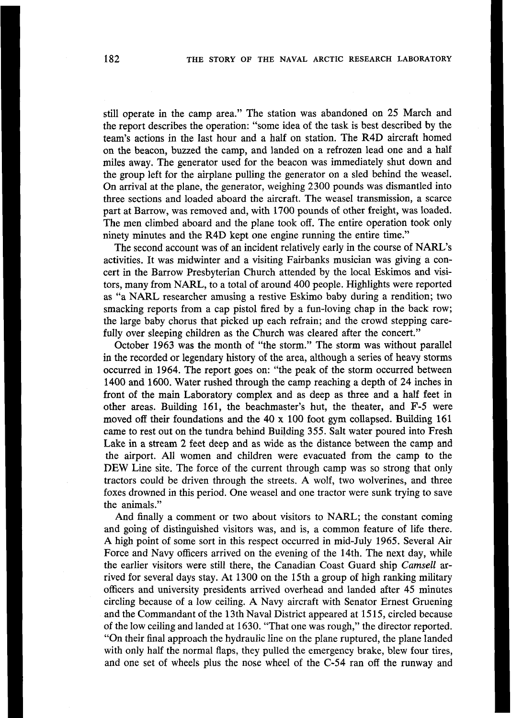still operate in the camp area." The station was abandoned on 25 March and the report describes the operation: "some idea of the task is best described by the team's actions in the last hour and a half on station. The R4D aircraft homed on the beacon, buzzed the camp, and landed on a refrozen lead one and a half miles away. The generator used for the beacon was immediately shut down and the group left for the airplane pulling the generator on a sled behind the weasel. On arrival at the plane, the generator, weighing 2300 pounds was dismantled into three sections and loaded aboard the aircraft. The weasel transmission, a scarce part at Barrow, was removed and, with 1700 pounds of other freight, was loaded. The men climbed aboard and the plane took off. The entire operation took only ninety minutes and the R4D kept one engine running the entire time."

The second account was of an incident relatively early in the course of NARL's activities. It was midwinter and a visiting Fairbanks musician was giving a concert in the Barrow Presbyterian Church attended by the local Eskimos and visitors, many from NARL, to a total of around 400 people. Highlights were reported as "a NARL researcher amusing a restive Eskimo baby during a rendition; two smacking reports from a cap pistol fired by a fun-loving chap in the back row; the large baby chorus that picked up each refrain; and the crowd stepping carefully over sleeping children as the Church was cleared after the concert."

October 1963 was the month of "the storm." The storm was without parallel in the recorded or legendary history of the area, although a series of heavy storms occurred in 1964. The report goes on: "the peak of the storm occurred between 1400 and 1600. Water rushed through the camp reaching a depth of 24 inches in front of the main Laboratory complex and as deep as three and a half feet in other areas. Building 161, the beachmaster's hut, the theater, and F-5 were moved off their foundations and the 40 **x** 100 foot gym collapsed. Building 161 came to rest out on the tundra behind Building 355. Salt water poured into Fresh Lake in a stream 2 feet deep and as wide as the distance between the camp and the airport. All women and children were evacuated from the camp to the DEW Line site. The force of the current through camp was so strong that only tractors could be driven through the streets. A wolf, two wolverines, and three foxes drowned in this period. One weasel and one tractor were sunk trying to save the animals."

And finally a comment or two about visitors to NARL; the constant coming and going of distinguished visitors was, and is, a common feature of life there. A high point of some sort in this respect occurred in mid-July 1965. Several Air Force and Navy officers arrived on the evening of the 14th. The next day, while the earlier visitors were still there, the Canadian Coast Guard ship *Camsell* arrived for several days stay. At 1300 on the 15th a group of high ranking military officers and university presidents arrived overhead and landed after **45** minutes circling because of a low ceiling. A Navy aircraft with Senator Ernest Gruening and the Commandant of the 13th Naval District appeared at 15 15, circled because of the low ceiling and landed at 1630. "That one was rough," the director reported. "On their final approach the hydraulic line on the plane ruptured, the plane landed with only half the normal flaps, they pulled the emergency brake, blew four tires, and one set of wheels plus the nose wheel of the C-54 ran off the runway and